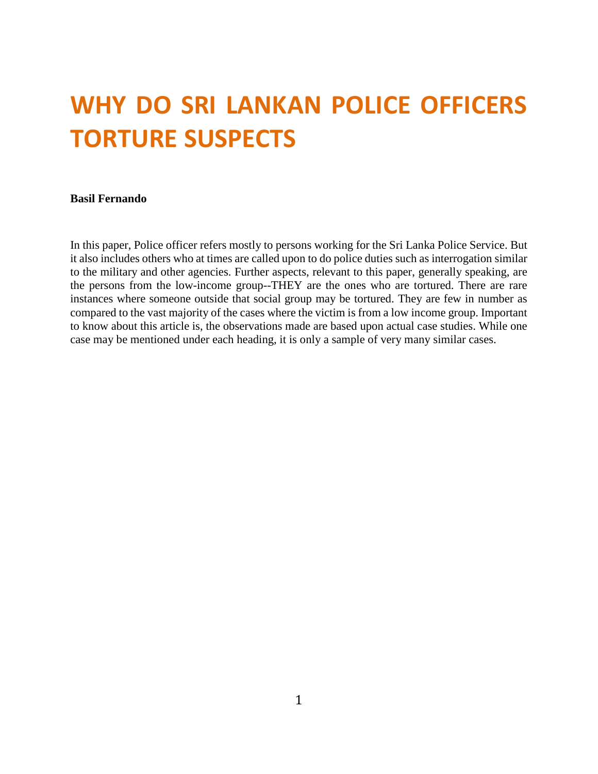# **WHY DO SRI LANKAN POLICE OFFICERS TORTURE SUSPECTS**

#### **Basil Fernando**

In this paper, Police officer refers mostly to persons working for the Sri Lanka Police Service. But it also includes others who at times are called upon to do police duties such as interrogation similar to the military and other agencies. Further aspects, relevant to this paper, generally speaking, are the persons from the low-income group--THEY are the ones who are tortured. There are rare instances where someone outside that social group may be tortured. They are few in number as compared to the vast majority of the cases where the victim is from a low income group. Important to know about this article is, the observations made are based upon actual case studies. While one case may be mentioned under each heading, it is only a sample of very many similar cases.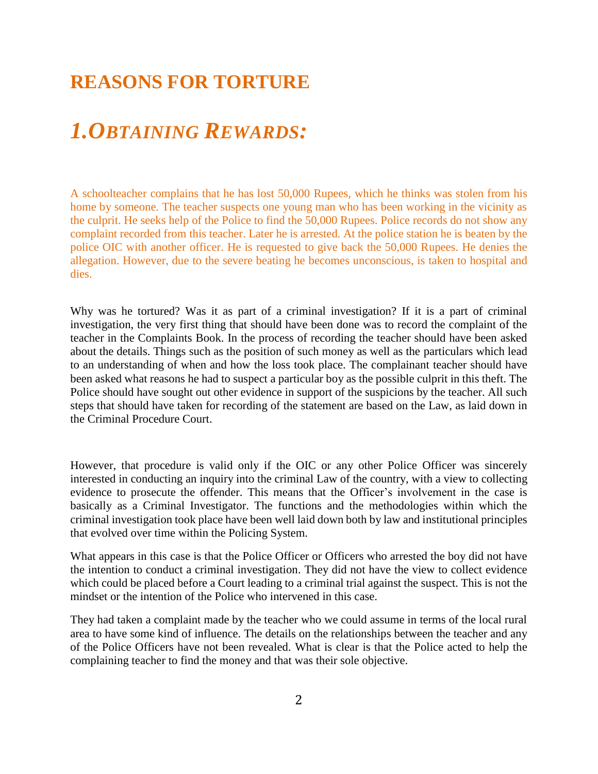## **REASONS FOR TORTURE**

## *1.OBTAINING REWARDS:*

A schoolteacher complains that he has lost 50,000 Rupees, which he thinks was stolen from his home by someone. The teacher suspects one young man who has been working in the vicinity as the culprit. He seeks help of the Police to find the 50,000 Rupees. Police records do not show any complaint recorded from this teacher. Later he is arrested. At the police station he is beaten by the police OIC with another officer. He is requested to give back the 50,000 Rupees. He denies the allegation. However, due to the severe beating he becomes unconscious, is taken to hospital and dies.

Why was he tortured? Was it as part of a criminal investigation? If it is a part of criminal investigation, the very first thing that should have been done was to record the complaint of the teacher in the Complaints Book. In the process of recording the teacher should have been asked about the details. Things such as the position of such money as well as the particulars which lead to an understanding of when and how the loss took place. The complainant teacher should have been asked what reasons he had to suspect a particular boy as the possible culprit in this theft. The Police should have sought out other evidence in support of the suspicions by the teacher. All such steps that should have taken for recording of the statement are based on the Law, as laid down in the Criminal Procedure Court.

However, that procedure is valid only if the OIC or any other Police Officer was sincerely interested in conducting an inquiry into the criminal Law of the country, with a view to collecting evidence to prosecute the offender. This means that the Officer's involvement in the case is basically as a Criminal Investigator. The functions and the methodologies within which the criminal investigation took place have been well laid down both by law and institutional principles that evolved over time within the Policing System.

What appears in this case is that the Police Officer or Officers who arrested the boy did not have the intention to conduct a criminal investigation. They did not have the view to collect evidence which could be placed before a Court leading to a criminal trial against the suspect. This is not the mindset or the intention of the Police who intervened in this case.

They had taken a complaint made by the teacher who we could assume in terms of the local rural area to have some kind of influence. The details on the relationships between the teacher and any of the Police Officers have not been revealed. What is clear is that the Police acted to help the complaining teacher to find the money and that was their sole objective.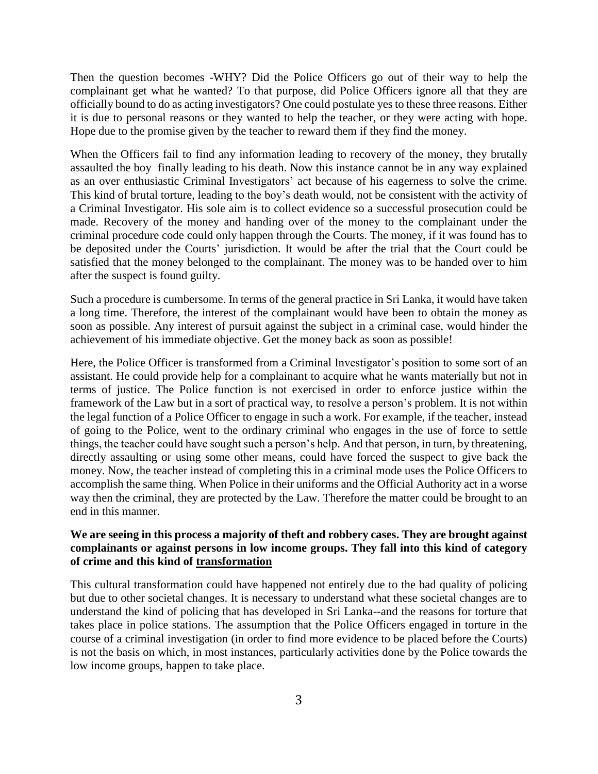Then the question becomes -WHY? Did the Police Officers go out of their way to help the complainant get what he wanted? To that purpose, did Police Officers ignore all that they are officially bound to do as acting investigators? One could postulate yes to these three reasons. Either it is due to personal reasons or they wanted to help the teacher, or they were acting with hope. Hope due to the promise given by the teacher to reward them if they find the money.

When the Officers fail to find any information leading to recovery of the money, they brutally assaulted the boy finally leading to his death. Now this instance cannot be in any way explained as an over enthusiastic Criminal Investigators' act because of his eagerness to solve the crime. This kind of brutal torture, leading to the boy's death would, not be consistent with the activity of a Criminal Investigator. His sole aim is to collect evidence so a successful prosecution could be made. Recovery of the money and handing over of the money to the complainant under the criminal procedure code could only happen through the Courts. The money, if it was found has to be deposited under the Courts' jurisdiction. It would be after the trial that the Court could be satisfied that the money belonged to the complainant. The money was to be handed over to him after the suspect is found guilty.

Such a procedure is cumbersome. In terms of the general practice in Sri Lanka, it would have taken a long time. Therefore, the interest of the complainant would have been to obtain the money as soon as possible. Any interest of pursuit against the subject in a criminal case, would hinder the achievement of his immediate objective. Get the money back as soon as possible!

Here, the Police Officer is transformed from a Criminal Investigator's position to some sort of an assistant. He could provide help for a complainant to acquire what he wants materially but not in terms of justice. The Police function is not exercised in order to enforce justice within the framework of the Law but in a sort of practical way, to resolve a person's problem. It is not within the legal function of a Police Officer to engage in such a work. For example, if the teacher, instead of going to the Police, went to the ordinary criminal who engages in the use of force to settle things, the teacher could have sought such a person's help. And that person, in turn, by threatening, directly assaulting or using some other means, could have forced the suspect to give back the money. Now, the teacher instead of completing this in a criminal mode uses the Police Officers to accomplish the same thing. When Police in their uniforms and the Official Authority act in a worse way then the criminal, they are protected by the Law. Therefore the matter could be brought to an end in this manner.

#### **We are seeing in this process a majority of theft and robbery cases. They are brought against complainants or against persons in low income groups. They fall into this kind of category of crime and this kind of transformation**

This cultural transformation could have happened not entirely due to the bad quality of policing but due to other societal changes. It is necessary to understand what these societal changes are to understand the kind of policing that has developed in Sri Lanka--and the reasons for torture that takes place in police stations. The assumption that the Police Officers engaged in torture in the course of a criminal investigation (in order to find more evidence to be placed before the Courts) is not the basis on which, in most instances, particularly activities done by the Police towards the low income groups, happen to take place.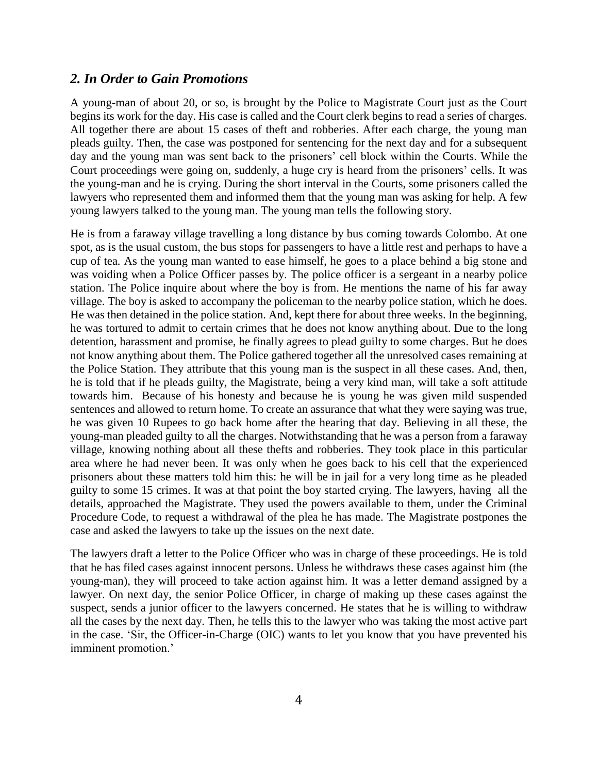#### *2. In Order to Gain Promotions*

A young-man of about 20, or so, is brought by the Police to Magistrate Court just as the Court begins its work for the day. His case is called and the Court clerk begins to read a series of charges. All together there are about 15 cases of theft and robberies. After each charge, the young man pleads guilty. Then, the case was postponed for sentencing for the next day and for a subsequent day and the young man was sent back to the prisoners' cell block within the Courts. While the Court proceedings were going on, suddenly, a huge cry is heard from the prisoners' cells. It was the young-man and he is crying. During the short interval in the Courts, some prisoners called the lawyers who represented them and informed them that the young man was asking for help. A few young lawyers talked to the young man. The young man tells the following story.

He is from a faraway village travelling a long distance by bus coming towards Colombo. At one spot, as is the usual custom, the bus stops for passengers to have a little rest and perhaps to have a cup of tea. As the young man wanted to ease himself, he goes to a place behind a big stone and was voiding when a Police Officer passes by. The police officer is a sergeant in a nearby police station. The Police inquire about where the boy is from. He mentions the name of his far away village. The boy is asked to accompany the policeman to the nearby police station, which he does. He was then detained in the police station. And, kept there for about three weeks. In the beginning, he was tortured to admit to certain crimes that he does not know anything about. Due to the long detention, harassment and promise, he finally agrees to plead guilty to some charges. But he does not know anything about them. The Police gathered together all the unresolved cases remaining at the Police Station. They attribute that this young man is the suspect in all these cases. And, then, he is told that if he pleads guilty, the Magistrate, being a very kind man, will take a soft attitude towards him. Because of his honesty and because he is young he was given mild suspended sentences and allowed to return home. To create an assurance that what they were saying was true, he was given 10 Rupees to go back home after the hearing that day. Believing in all these, the young-man pleaded guilty to all the charges. Notwithstanding that he was a person from a faraway village, knowing nothing about all these thefts and robberies. They took place in this particular area where he had never been. It was only when he goes back to his cell that the experienced prisoners about these matters told him this: he will be in jail for a very long time as he pleaded guilty to some 15 crimes. It was at that point the boy started crying. The lawyers, having all the details, approached the Magistrate. They used the powers available to them, under the Criminal Procedure Code, to request a withdrawal of the plea he has made. The Magistrate postpones the case and asked the lawyers to take up the issues on the next date.

The lawyers draft a letter to the Police Officer who was in charge of these proceedings. He is told that he has filed cases against innocent persons. Unless he withdraws these cases against him (the young-man), they will proceed to take action against him. It was a letter demand assigned by a lawyer. On next day, the senior Police Officer, in charge of making up these cases against the suspect, sends a junior officer to the lawyers concerned. He states that he is willing to withdraw all the cases by the next day. Then, he tells this to the lawyer who was taking the most active part in the case. 'Sir, the Officer-in-Charge (OIC) wants to let you know that you have prevented his imminent promotion.'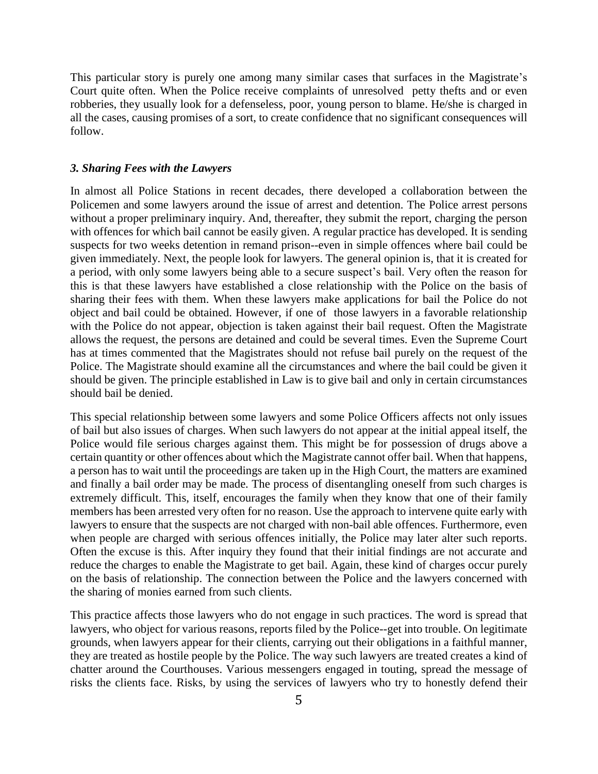This particular story is purely one among many similar cases that surfaces in the Magistrate's Court quite often. When the Police receive complaints of unresolved petty thefts and or even robberies, they usually look for a defenseless, poor, young person to blame. He/she is charged in all the cases, causing promises of a sort, to create confidence that no significant consequences will follow.

#### *3. Sharing Fees with the Lawyers*

In almost all Police Stations in recent decades, there developed a collaboration between the Policemen and some lawyers around the issue of arrest and detention. The Police arrest persons without a proper preliminary inquiry. And, thereafter, they submit the report, charging the person with offences for which bail cannot be easily given. A regular practice has developed. It is sending suspects for two weeks detention in remand prison--even in simple offences where bail could be given immediately. Next, the people look for lawyers. The general opinion is, that it is created for a period, with only some lawyers being able to a secure suspect's bail. Very often the reason for this is that these lawyers have established a close relationship with the Police on the basis of sharing their fees with them. When these lawyers make applications for bail the Police do not object and bail could be obtained. However, if one of those lawyers in a favorable relationship with the Police do not appear, objection is taken against their bail request. Often the Magistrate allows the request, the persons are detained and could be several times. Even the Supreme Court has at times commented that the Magistrates should not refuse bail purely on the request of the Police. The Magistrate should examine all the circumstances and where the bail could be given it should be given. The principle established in Law is to give bail and only in certain circumstances should bail be denied.

This special relationship between some lawyers and some Police Officers affects not only issues of bail but also issues of charges. When such lawyers do not appear at the initial appeal itself, the Police would file serious charges against them. This might be for possession of drugs above a certain quantity or other offences about which the Magistrate cannot offer bail. When that happens, a person has to wait until the proceedings are taken up in the High Court, the matters are examined and finally a bail order may be made. The process of disentangling oneself from such charges is extremely difficult. This, itself, encourages the family when they know that one of their family members has been arrested very often for no reason. Use the approach to intervene quite early with lawyers to ensure that the suspects are not charged with non-bail able offences. Furthermore, even when people are charged with serious offences initially, the Police may later alter such reports. Often the excuse is this. After inquiry they found that their initial findings are not accurate and reduce the charges to enable the Magistrate to get bail. Again, these kind of charges occur purely on the basis of relationship. The connection between the Police and the lawyers concerned with the sharing of monies earned from such clients.

This practice affects those lawyers who do not engage in such practices. The word is spread that lawyers, who object for various reasons, reports filed by the Police--get into trouble. On legitimate grounds, when lawyers appear for their clients, carrying out their obligations in a faithful manner, they are treated as hostile people by the Police. The way such lawyers are treated creates a kind of chatter around the Courthouses. Various messengers engaged in touting, spread the message of risks the clients face. Risks, by using the services of lawyers who try to honestly defend their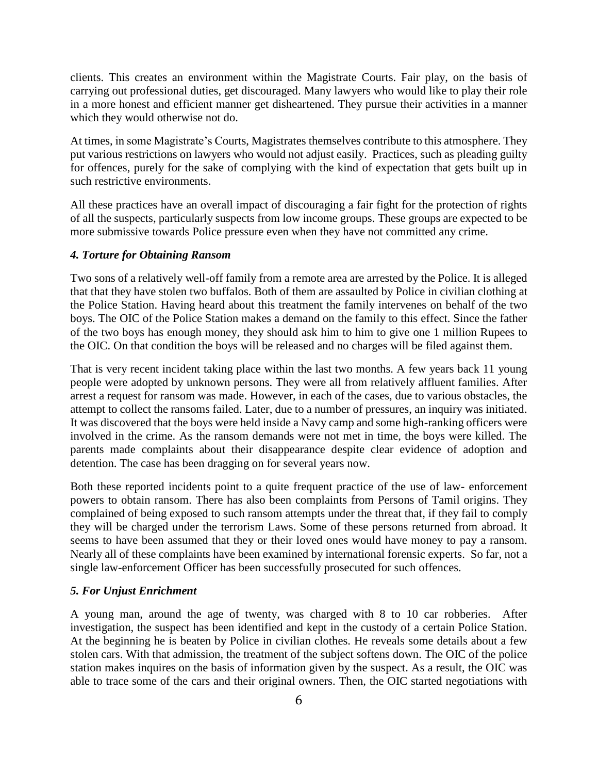clients. This creates an environment within the Magistrate Courts. Fair play, on the basis of carrying out professional duties, get discouraged. Many lawyers who would like to play their role in a more honest and efficient manner get disheartened. They pursue their activities in a manner which they would otherwise not do.

At times, in some Magistrate's Courts, Magistrates themselves contribute to this atmosphere. They put various restrictions on lawyers who would not adjust easily. Practices, such as pleading guilty for offences, purely for the sake of complying with the kind of expectation that gets built up in such restrictive environments.

All these practices have an overall impact of discouraging a fair fight for the protection of rights of all the suspects, particularly suspects from low income groups. These groups are expected to be more submissive towards Police pressure even when they have not committed any crime.

#### *4. Torture for Obtaining Ransom*

Two sons of a relatively well-off family from a remote area are arrested by the Police. It is alleged that that they have stolen two buffalos. Both of them are assaulted by Police in civilian clothing at the Police Station. Having heard about this treatment the family intervenes on behalf of the two boys. The OIC of the Police Station makes a demand on the family to this effect. Since the father of the two boys has enough money, they should ask him to him to give one 1 million Rupees to the OIC. On that condition the boys will be released and no charges will be filed against them.

That is very recent incident taking place within the last two months. A few years back 11 young people were adopted by unknown persons. They were all from relatively affluent families. After arrest a request for ransom was made. However, in each of the cases, due to various obstacles, the attempt to collect the ransoms failed. Later, due to a number of pressures, an inquiry was initiated. It was discovered that the boys were held inside a Navy camp and some high-ranking officers were involved in the crime. As the ransom demands were not met in time, the boys were killed. The parents made complaints about their disappearance despite clear evidence of adoption and detention. The case has been dragging on for several years now.

Both these reported incidents point to a quite frequent practice of the use of law- enforcement powers to obtain ransom. There has also been complaints from Persons of Tamil origins. They complained of being exposed to such ransom attempts under the threat that, if they fail to comply they will be charged under the terrorism Laws. Some of these persons returned from abroad. It seems to have been assumed that they or their loved ones would have money to pay a ransom. Nearly all of these complaints have been examined by international forensic experts. So far, not a single law-enforcement Officer has been successfully prosecuted for such offences.

#### *5. For Unjust Enrichment*

A young man, around the age of twenty, was charged with 8 to 10 car robberies. After investigation, the suspect has been identified and kept in the custody of a certain Police Station. At the beginning he is beaten by Police in civilian clothes. He reveals some details about a few stolen cars. With that admission, the treatment of the subject softens down. The OIC of the police station makes inquires on the basis of information given by the suspect. As a result, the OIC was able to trace some of the cars and their original owners. Then, the OIC started negotiations with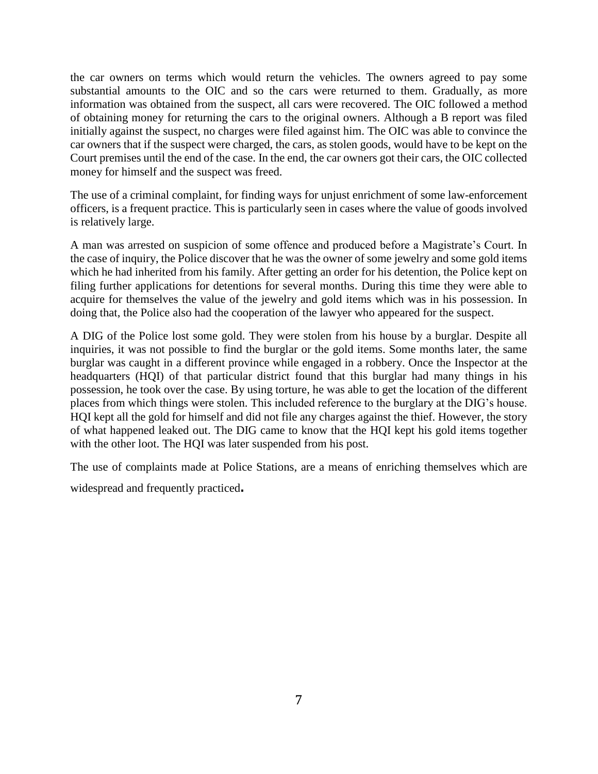the car owners on terms which would return the vehicles. The owners agreed to pay some substantial amounts to the OIC and so the cars were returned to them. Gradually, as more information was obtained from the suspect, all cars were recovered. The OIC followed a method of obtaining money for returning the cars to the original owners. Although a B report was filed initially against the suspect, no charges were filed against him. The OIC was able to convince the car owners that if the suspect were charged, the cars, as stolen goods, would have to be kept on the Court premises until the end of the case. In the end, the car owners got their cars, the OIC collected money for himself and the suspect was freed.

The use of a criminal complaint, for finding ways for unjust enrichment of some law-enforcement officers, is a frequent practice. This is particularly seen in cases where the value of goods involved is relatively large.

A man was arrested on suspicion of some offence and produced before a Magistrate's Court. In the case of inquiry, the Police discover that he was the owner of some jewelry and some gold items which he had inherited from his family. After getting an order for his detention, the Police kept on filing further applications for detentions for several months. During this time they were able to acquire for themselves the value of the jewelry and gold items which was in his possession. In doing that, the Police also had the cooperation of the lawyer who appeared for the suspect.

A DIG of the Police lost some gold. They were stolen from his house by a burglar. Despite all inquiries, it was not possible to find the burglar or the gold items. Some months later, the same burglar was caught in a different province while engaged in a robbery. Once the Inspector at the headquarters (HQI) of that particular district found that this burglar had many things in his possession, he took over the case. By using torture, he was able to get the location of the different places from which things were stolen. This included reference to the burglary at the DIG's house. HQI kept all the gold for himself and did not file any charges against the thief. However, the story of what happened leaked out. The DIG came to know that the HQI kept his gold items together with the other loot. The HQI was later suspended from his post.

The use of complaints made at Police Stations, are a means of enriching themselves which are

widespread and frequently practiced.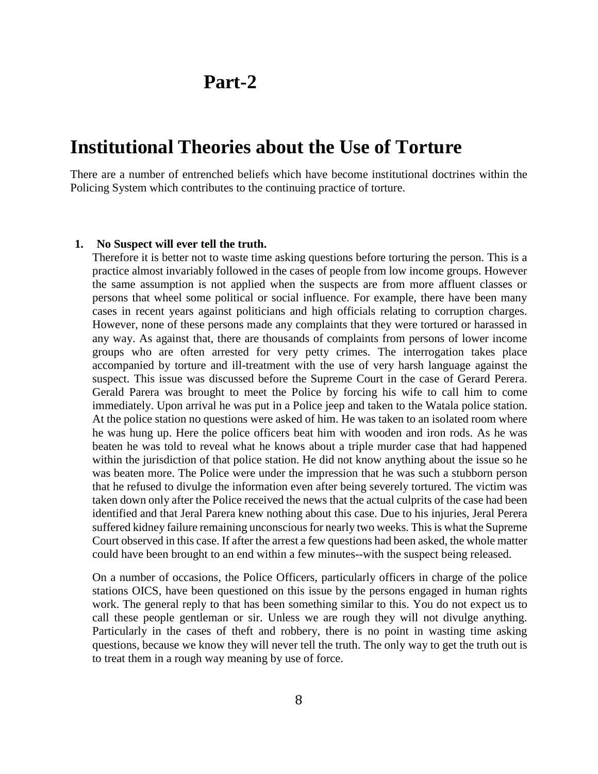## **Part-2**

### **Institutional Theories about the Use of Torture**

There are a number of entrenched beliefs which have become institutional doctrines within the Policing System which contributes to the continuing practice of torture.

#### **1. No Suspect will ever tell the truth.**

Therefore it is better not to waste time asking questions before torturing the person. This is a practice almost invariably followed in the cases of people from low income groups. However the same assumption is not applied when the suspects are from more affluent classes or persons that wheel some political or social influence. For example, there have been many cases in recent years against politicians and high officials relating to corruption charges. However, none of these persons made any complaints that they were tortured or harassed in any way. As against that, there are thousands of complaints from persons of lower income groups who are often arrested for very petty crimes. The interrogation takes place accompanied by torture and ill-treatment with the use of very harsh language against the suspect. This issue was discussed before the Supreme Court in the case of Gerard Perera. Gerald Parera was brought to meet the Police by forcing his wife to call him to come immediately. Upon arrival he was put in a Police jeep and taken to the Watala police station. At the police station no questions were asked of him. He was taken to an isolated room where he was hung up. Here the police officers beat him with wooden and iron rods. As he was beaten he was told to reveal what he knows about a triple murder case that had happened within the jurisdiction of that police station. He did not know anything about the issue so he was beaten more. The Police were under the impression that he was such a stubborn person that he refused to divulge the information even after being severely tortured. The victim was taken down only after the Police received the news that the actual culprits of the case had been identified and that Jeral Parera knew nothing about this case. Due to his injuries, Jeral Perera suffered kidney failure remaining unconscious for nearly two weeks. This is what the Supreme Court observed in this case. If after the arrest a few questions had been asked, the whole matter could have been brought to an end within a few minutes--with the suspect being released.

On a number of occasions, the Police Officers, particularly officers in charge of the police stations OICS, have been questioned on this issue by the persons engaged in human rights work. The general reply to that has been something similar to this. You do not expect us to call these people gentleman or sir. Unless we are rough they will not divulge anything. Particularly in the cases of theft and robbery, there is no point in wasting time asking questions, because we know they will never tell the truth. The only way to get the truth out is to treat them in a rough way meaning by use of force.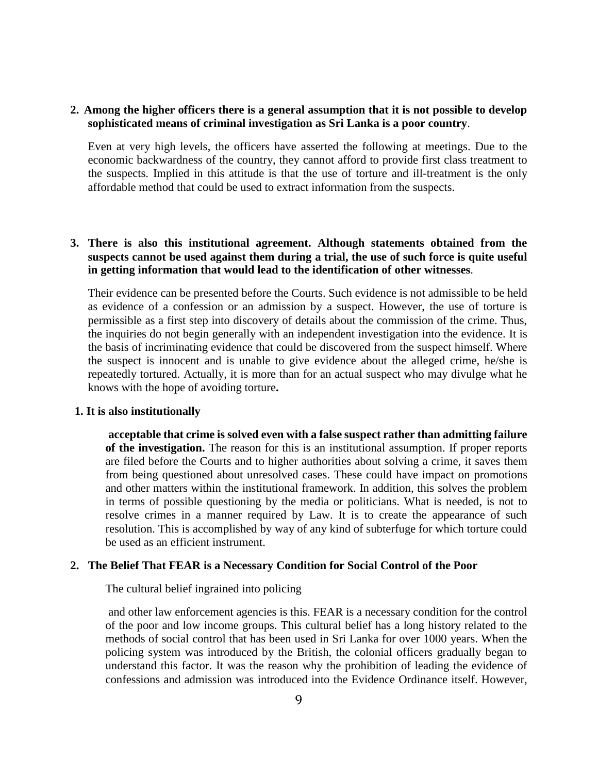#### **2. Among the higher officers there is a general assumption that it is not possible to develop sophisticated means of criminal investigation as Sri Lanka is a poor country**.

Even at very high levels, the officers have asserted the following at meetings. Due to the economic backwardness of the country, they cannot afford to provide first class treatment to the suspects. Implied in this attitude is that the use of torture and ill-treatment is the only affordable method that could be used to extract information from the suspects.

#### **3. There is also this institutional agreement. Although statements obtained from the suspects cannot be used against them during a trial, the use of such force is quite useful in getting information that would lead to the identification of other witnesses**.

Their evidence can be presented before the Courts. Such evidence is not admissible to be held as evidence of a confession or an admission by a suspect. However, the use of torture is permissible as a first step into discovery of details about the commission of the crime. Thus, the inquiries do not begin generally with an independent investigation into the evidence. It is the basis of incriminating evidence that could be discovered from the suspect himself. Where the suspect is innocent and is unable to give evidence about the alleged crime, he/she is repeatedly tortured. Actually, it is more than for an actual suspect who may divulge what he knows with the hope of avoiding torture**.**

#### **1. It is also institutionally**

**acceptable that crime is solved even with a false suspect rather than admitting failure of the investigation.** The reason for this is an institutional assumption. If proper reports are filed before the Courts and to higher authorities about solving a crime, it saves them from being questioned about unresolved cases. These could have impact on promotions and other matters within the institutional framework. In addition, this solves the problem in terms of possible questioning by the media or politicians. What is needed, is not to resolve crimes in a manner required by Law. It is to create the appearance of such resolution. This is accomplished by way of any kind of subterfuge for which torture could be used as an efficient instrument.

#### **2. The Belief That FEAR is a Necessary Condition for Social Control of the Poor**

The cultural belief ingrained into policing

and other law enforcement agencies is this. FEAR is a necessary condition for the control of the poor and low income groups. This cultural belief has a long history related to the methods of social control that has been used in Sri Lanka for over 1000 years. When the policing system was introduced by the British, the colonial officers gradually began to understand this factor. It was the reason why the prohibition of leading the evidence of confessions and admission was introduced into the Evidence Ordinance itself. However,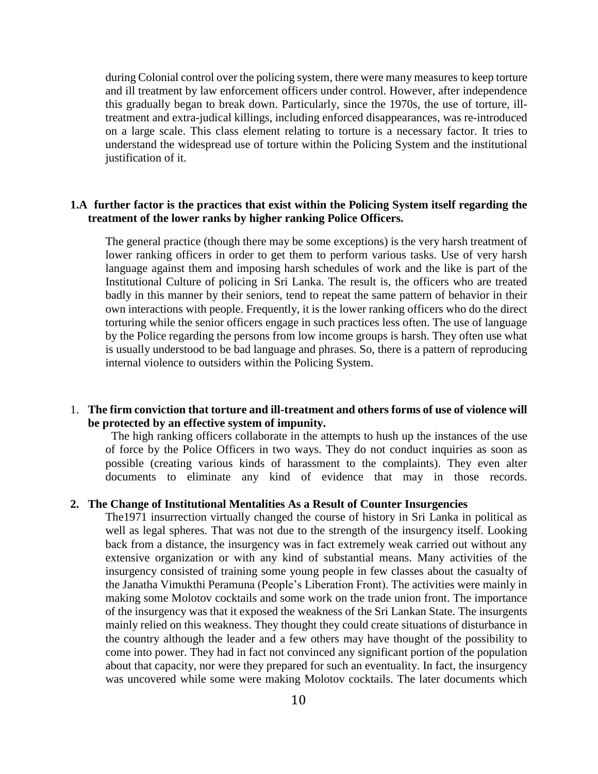during Colonial control over the policing system, there were many measures to keep torture and ill treatment by law enforcement officers under control. However, after independence this gradually began to break down. Particularly, since the 1970s, the use of torture, illtreatment and extra-judical killings, including enforced disappearances, was re-introduced on a large scale. This class element relating to torture is a necessary factor. It tries to understand the widespread use of torture within the Policing System and the institutional justification of it.

#### **1.A further factor is the practices that exist within the Policing System itself regarding the treatment of the lower ranks by higher ranking Police Officers.**

The general practice (though there may be some exceptions) is the very harsh treatment of lower ranking officers in order to get them to perform various tasks. Use of very harsh language against them and imposing harsh schedules of work and the like is part of the Institutional Culture of policing in Sri Lanka. The result is, the officers who are treated badly in this manner by their seniors, tend to repeat the same pattern of behavior in their own interactions with people. Frequently, it is the lower ranking officers who do the direct torturing while the senior officers engage in such practices less often. The use of language by the Police regarding the persons from low income groups is harsh. They often use what is usually understood to be bad language and phrases. So, there is a pattern of reproducing internal violence to outsiders within the Policing System.

#### 1. **The firm conviction that torture and ill-treatment and others forms of use of violence will be protected by an effective system of impunity.**

The high ranking officers collaborate in the attempts to hush up the instances of the use of force by the Police Officers in two ways. They do not conduct inquiries as soon as possible (creating various kinds of harassment to the complaints). They even alter documents to eliminate any kind of evidence that may in those records.

#### **2. The Change of Institutional Mentalities As a Result of Counter Insurgencies**

The1971 insurrection virtually changed the course of history in Sri Lanka in political as well as legal spheres. That was not due to the strength of the insurgency itself. Looking back from a distance, the insurgency was in fact extremely weak carried out without any extensive organization or with any kind of substantial means. Many activities of the insurgency consisted of training some young people in few classes about the casualty of the Janatha Vimukthi Peramuna (People's Liberation Front). The activities were mainly in making some Molotov cocktails and some work on the trade union front. The importance of the insurgency was that it exposed the weakness of the Sri Lankan State. The insurgents mainly relied on this weakness. They thought they could create situations of disturbance in the country although the leader and a few others may have thought of the possibility to come into power. They had in fact not convinced any significant portion of the population about that capacity, nor were they prepared for such an eventuality. In fact, the insurgency was uncovered while some were making Molotov cocktails. The later documents which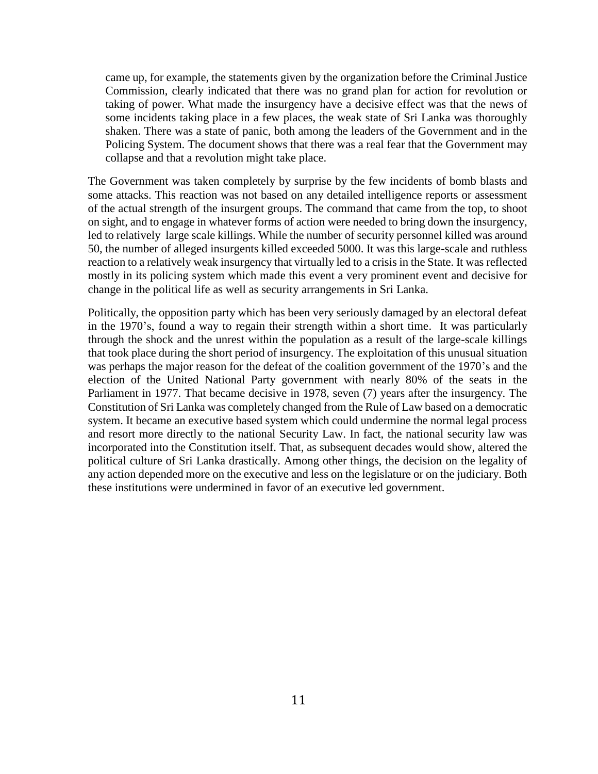came up, for example, the statements given by the organization before the Criminal Justice Commission, clearly indicated that there was no grand plan for action for revolution or taking of power. What made the insurgency have a decisive effect was that the news of some incidents taking place in a few places, the weak state of Sri Lanka was thoroughly shaken. There was a state of panic, both among the leaders of the Government and in the Policing System. The document shows that there was a real fear that the Government may collapse and that a revolution might take place.

The Government was taken completely by surprise by the few incidents of bomb blasts and some attacks. This reaction was not based on any detailed intelligence reports or assessment of the actual strength of the insurgent groups. The command that came from the top, to shoot on sight, and to engage in whatever forms of action were needed to bring down the insurgency, led to relatively large scale killings. While the number of security personnel killed was around 50, the number of alleged insurgents killed exceeded 5000. It was this large-scale and ruthless reaction to a relatively weak insurgency that virtually led to a crisis in the State. It was reflected mostly in its policing system which made this event a very prominent event and decisive for change in the political life as well as security arrangements in Sri Lanka.

Politically, the opposition party which has been very seriously damaged by an electoral defeat in the 1970's, found a way to regain their strength within a short time. It was particularly through the shock and the unrest within the population as a result of the large-scale killings that took place during the short period of insurgency. The exploitation of this unusual situation was perhaps the major reason for the defeat of the coalition government of the 1970's and the election of the United National Party government with nearly 80% of the seats in the Parliament in 1977. That became decisive in 1978, seven (7) years after the insurgency. The Constitution of Sri Lanka was completely changed from the Rule of Law based on a democratic system. It became an executive based system which could undermine the normal legal process and resort more directly to the national Security Law. In fact, the national security law was incorporated into the Constitution itself. That, as subsequent decades would show, altered the political culture of Sri Lanka drastically. Among other things, the decision on the legality of any action depended more on the executive and less on the legislature or on the judiciary. Both these institutions were undermined in favor of an executive led government.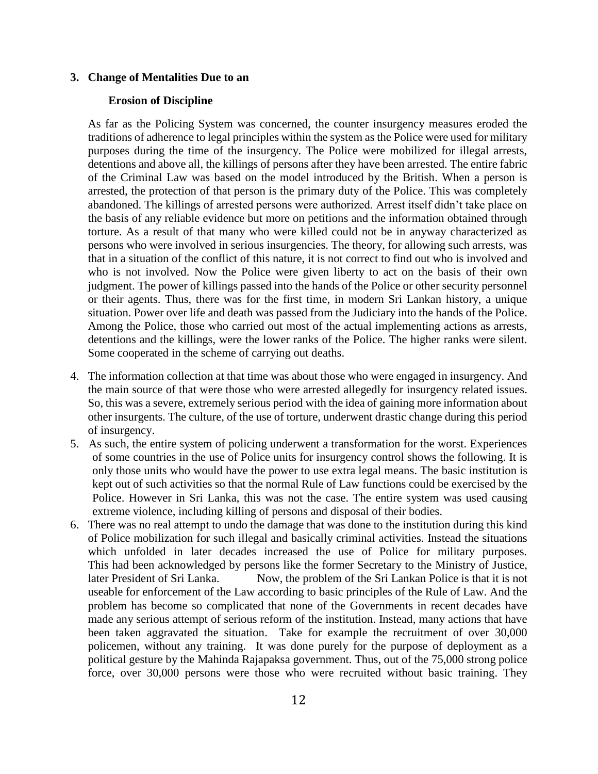#### **3. Change of Mentalities Due to an**

#### **Erosion of Discipline**

As far as the Policing System was concerned, the counter insurgency measures eroded the traditions of adherence to legal principles within the system as the Police were used for military purposes during the time of the insurgency. The Police were mobilized for illegal arrests, detentions and above all, the killings of persons after they have been arrested. The entire fabric of the Criminal Law was based on the model introduced by the British. When a person is arrested, the protection of that person is the primary duty of the Police. This was completely abandoned. The killings of arrested persons were authorized. Arrest itself didn't take place on the basis of any reliable evidence but more on petitions and the information obtained through torture. As a result of that many who were killed could not be in anyway characterized as persons who were involved in serious insurgencies. The theory, for allowing such arrests, was that in a situation of the conflict of this nature, it is not correct to find out who is involved and who is not involved. Now the Police were given liberty to act on the basis of their own judgment. The power of killings passed into the hands of the Police or other security personnel or their agents. Thus, there was for the first time, in modern Sri Lankan history, a unique situation. Power over life and death was passed from the Judiciary into the hands of the Police. Among the Police, those who carried out most of the actual implementing actions as arrests, detentions and the killings, were the lower ranks of the Police. The higher ranks were silent. Some cooperated in the scheme of carrying out deaths.

- 4. The information collection at that time was about those who were engaged in insurgency. And the main source of that were those who were arrested allegedly for insurgency related issues. So, this was a severe, extremely serious period with the idea of gaining more information about other insurgents. The culture, of the use of torture, underwent drastic change during this period of insurgency.
- 5. As such, the entire system of policing underwent a transformation for the worst. Experiences of some countries in the use of Police units for insurgency control shows the following. It is only those units who would have the power to use extra legal means. The basic institution is kept out of such activities so that the normal Rule of Law functions could be exercised by the Police. However in Sri Lanka, this was not the case. The entire system was used causing extreme violence, including killing of persons and disposal of their bodies.
- 6. There was no real attempt to undo the damage that was done to the institution during this kind of Police mobilization for such illegal and basically criminal activities. Instead the situations which unfolded in later decades increased the use of Police for military purposes. This had been acknowledged by persons like the former Secretary to the Ministry of Justice, later President of Sri Lanka. Now, the problem of the Sri Lankan Police is that it is not useable for enforcement of the Law according to basic principles of the Rule of Law. And the problem has become so complicated that none of the Governments in recent decades have made any serious attempt of serious reform of the institution. Instead, many actions that have been taken aggravated the situation. Take for example the recruitment of over 30,000 policemen, without any training. It was done purely for the purpose of deployment as a political gesture by the Mahinda Rajapaksa government. Thus, out of the 75,000 strong police force, over 30,000 persons were those who were recruited without basic training. They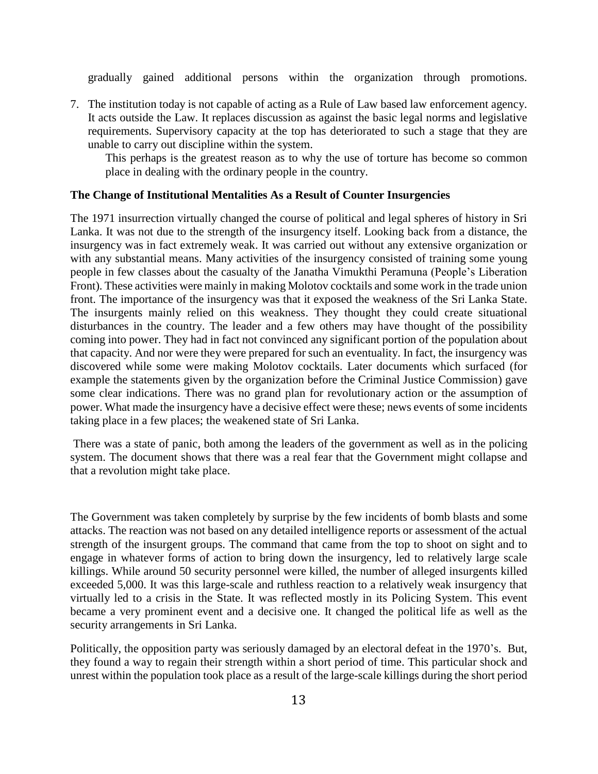gradually gained additional persons within the organization through promotions.

7. The institution today is not capable of acting as a Rule of Law based law enforcement agency. It acts outside the Law. It replaces discussion as against the basic legal norms and legislative requirements. Supervisory capacity at the top has deteriorated to such a stage that they are unable to carry out discipline within the system.

This perhaps is the greatest reason as to why the use of torture has become so common place in dealing with the ordinary people in the country.

#### **The Change of Institutional Mentalities As a Result of Counter Insurgencies**

The 1971 insurrection virtually changed the course of political and legal spheres of history in Sri Lanka. It was not due to the strength of the insurgency itself. Looking back from a distance, the insurgency was in fact extremely weak. It was carried out without any extensive organization or with any substantial means. Many activities of the insurgency consisted of training some young people in few classes about the casualty of the Janatha Vimukthi Peramuna (People's Liberation Front). These activities were mainly in making Molotov cocktails and some work in the trade union front. The importance of the insurgency was that it exposed the weakness of the Sri Lanka State. The insurgents mainly relied on this weakness. They thought they could create situational disturbances in the country. The leader and a few others may have thought of the possibility coming into power. They had in fact not convinced any significant portion of the population about that capacity. And nor were they were prepared for such an eventuality. In fact, the insurgency was discovered while some were making Molotov cocktails. Later documents which surfaced (for example the statements given by the organization before the Criminal Justice Commission) gave some clear indications. There was no grand plan for revolutionary action or the assumption of power. What made the insurgency have a decisive effect were these; news events of some incidents taking place in a few places; the weakened state of Sri Lanka.

There was a state of panic, both among the leaders of the government as well as in the policing system. The document shows that there was a real fear that the Government might collapse and that a revolution might take place.

The Government was taken completely by surprise by the few incidents of bomb blasts and some attacks. The reaction was not based on any detailed intelligence reports or assessment of the actual strength of the insurgent groups. The command that came from the top to shoot on sight and to engage in whatever forms of action to bring down the insurgency, led to relatively large scale killings. While around 50 security personnel were killed, the number of alleged insurgents killed exceeded 5,000. It was this large-scale and ruthless reaction to a relatively weak insurgency that virtually led to a crisis in the State. It was reflected mostly in its Policing System. This event became a very prominent event and a decisive one. It changed the political life as well as the security arrangements in Sri Lanka.

Politically, the opposition party was seriously damaged by an electoral defeat in the 1970's. But, they found a way to regain their strength within a short period of time. This particular shock and unrest within the population took place as a result of the large-scale killings during the short period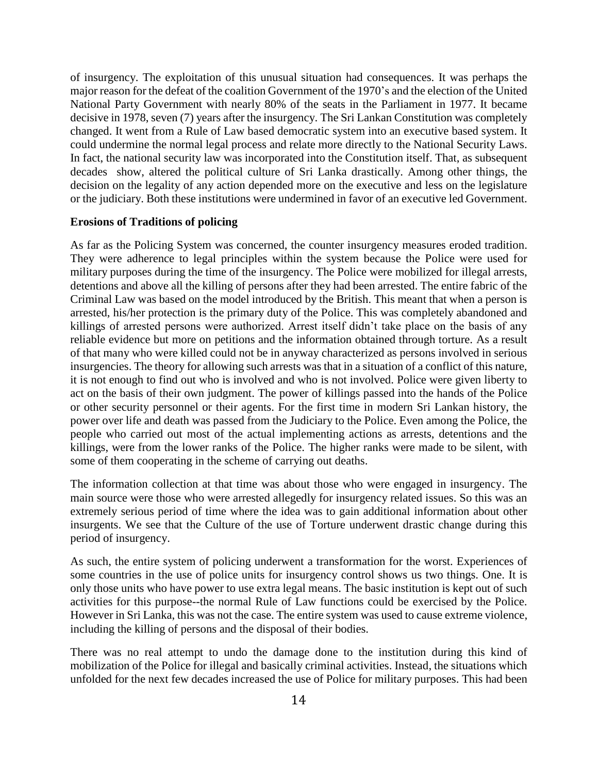of insurgency. The exploitation of this unusual situation had consequences. It was perhaps the major reason for the defeat of the coalition Government of the 1970's and the election of the United National Party Government with nearly 80% of the seats in the Parliament in 1977. It became decisive in 1978, seven (7) years after the insurgency. The Sri Lankan Constitution was completely changed. It went from a Rule of Law based democratic system into an executive based system. It could undermine the normal legal process and relate more directly to the National Security Laws. In fact, the national security law was incorporated into the Constitution itself. That, as subsequent decades show, altered the political culture of Sri Lanka drastically. Among other things, the decision on the legality of any action depended more on the executive and less on the legislature or the judiciary. Both these institutions were undermined in favor of an executive led Government.

#### **Erosions of Traditions of policing**

As far as the Policing System was concerned, the counter insurgency measures eroded tradition. They were adherence to legal principles within the system because the Police were used for military purposes during the time of the insurgency. The Police were mobilized for illegal arrests, detentions and above all the killing of persons after they had been arrested. The entire fabric of the Criminal Law was based on the model introduced by the British. This meant that when a person is arrested, his/her protection is the primary duty of the Police. This was completely abandoned and killings of arrested persons were authorized. Arrest itself didn't take place on the basis of any reliable evidence but more on petitions and the information obtained through torture. As a result of that many who were killed could not be in anyway characterized as persons involved in serious insurgencies. The theory for allowing such arrests was that in a situation of a conflict of this nature, it is not enough to find out who is involved and who is not involved. Police were given liberty to act on the basis of their own judgment. The power of killings passed into the hands of the Police or other security personnel or their agents. For the first time in modern Sri Lankan history, the power over life and death was passed from the Judiciary to the Police. Even among the Police, the people who carried out most of the actual implementing actions as arrests, detentions and the killings, were from the lower ranks of the Police. The higher ranks were made to be silent, with some of them cooperating in the scheme of carrying out deaths.

The information collection at that time was about those who were engaged in insurgency. The main source were those who were arrested allegedly for insurgency related issues. So this was an extremely serious period of time where the idea was to gain additional information about other insurgents. We see that the Culture of the use of Torture underwent drastic change during this period of insurgency.

As such, the entire system of policing underwent a transformation for the worst. Experiences of some countries in the use of police units for insurgency control shows us two things. One. It is only those units who have power to use extra legal means. The basic institution is kept out of such activities for this purpose--the normal Rule of Law functions could be exercised by the Police. However in Sri Lanka, this was not the case. The entire system was used to cause extreme violence, including the killing of persons and the disposal of their bodies.

There was no real attempt to undo the damage done to the institution during this kind of mobilization of the Police for illegal and basically criminal activities. Instead, the situations which unfolded for the next few decades increased the use of Police for military purposes. This had been